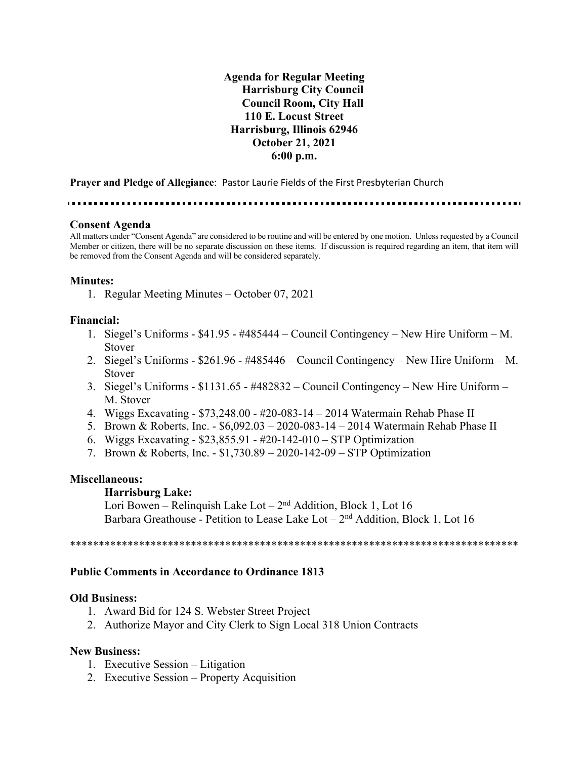**Agenda for Regular Meeting Harrisburg City Council Council Room, City Hall 110 E. Locust Street Harrisburg, Illinois 62946 October 21, 2021 6:00 p.m.**

**Prayer and Pledge of Allegiance**: Pastor Laurie Fields of the First Presbyterian Church

### **Consent Agenda**

All matters under "Consent Agenda" are considered to be routine and will be entered by one motion. Unless requested by a Council Member or citizen, there will be no separate discussion on these items. If discussion is required regarding an item, that item will be removed from the Consent Agenda and will be considered separately.

### **Minutes:**

1. Regular Meeting Minutes – October 07, 2021

### **Financial:**

- 1. Siegel's Uniforms \$41.95 #485444 Council Contingency New Hire Uniform M. Stover
- 2. Siegel's Uniforms \$261.96 #485446 Council Contingency New Hire Uniform M. Stover
- 3. Siegel's Uniforms \$1131.65 #482832 Council Contingency New Hire Uniform M. Stover
- 4. Wiggs Excavating \$73,248.00 #20-083-14 2014 Watermain Rehab Phase II
- 5. Brown & Roberts, Inc. \$6,092.03 2020-083-14 2014 Watermain Rehab Phase II
- 6. Wiggs Excavating \$23,855.91 #20-142-010 STP Optimization
- 7. Brown & Roberts, Inc. \$1,730.89 2020-142-09 STP Optimization

### **Miscellaneous:**

#### **Harrisburg Lake:**

Lori Bowen – Relinquish Lake Lot –  $2<sup>nd</sup>$  Addition, Block 1, Lot 16 Barbara Greathouse - Petition to Lease Lake Lot  $-2<sup>nd</sup>$  Addition, Block 1, Lot 16

\*\*\*\*\*\*\*\*\*\*\*\*\*\*\*\*\*\*\*\*\*\*\*\*\*\*\*\*\*\*\*\*\*\*\*\*\*\*\*\*\*\*\*\*\*\*\*\*\*\*\*\*\*\*\*\*\*\*\*\*\*\*\*\*\*\*\*\*\*\*\*\*\*\*\*\*\*\*

## **Public Comments in Accordance to Ordinance 1813**

#### **Old Business:**

- 1. Award Bid for 124 S. Webster Street Project
- 2. Authorize Mayor and City Clerk to Sign Local 318 Union Contracts

#### **New Business:**

- 1. Executive Session Litigation
- 2. Executive Session Property Acquisition